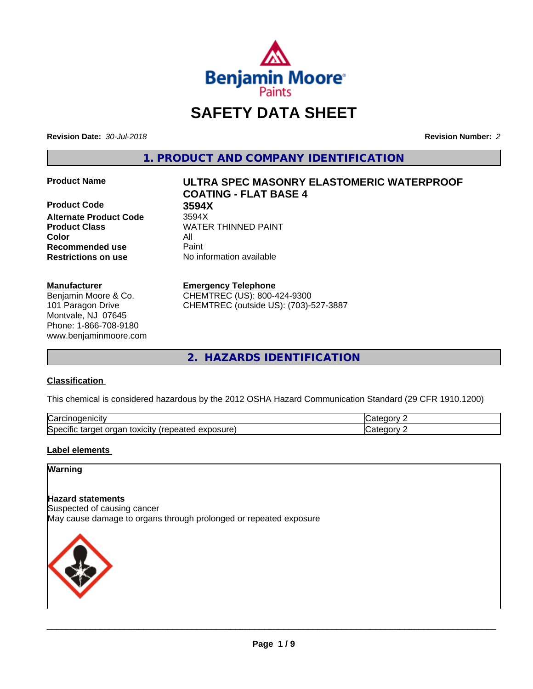

# **SAFETY DATA SHEET**

**Revision Date:** *30-Jul-2018* **Revision Number:** *2*

**1. PRODUCT AND COMPANY IDENTIFICATION**

**Product Code 3594X Alternate Product Code Product Class WATER THINNED PAINT Color** All **Recommended use** Paint **Restrictions on use** No information available

#### **Manufacturer**

Benjamin Moore & Co. 101 Paragon Drive Montvale, NJ 07645 Phone: 1-866-708-9180 www.benjaminmoore.com

# **Product Name ULTRA SPEC MASONRY ELASTOMERIC WATERPROOF COATING - FLAT BASE 4**

#### **Emergency Telephone**

CHEMTREC (US): 800-424-9300 CHEMTREC (outside US): (703)-527-3887

**2. HAZARDS IDENTIFICATION**

### **Classification**

This chemical is considered hazardous by the 2012 OSHA Hazard Communication Standard (29 CFR 1910.1200)

| ∽<br>AICID<br>vai                                                                                                         | - 10       |
|---------------------------------------------------------------------------------------------------------------------------|------------|
| ∽<br><b>posure</b><br>exr<br>organ<br>Spe <sup>r</sup><br>target<br>toxicity<br>tar<br>repe.<br>CIHC<br>$\sim$ -different | ---<br>. . |

### **Label elements**

## **Warning**

#### **Hazard statements**

Suspected of causing cancer May cause damage to organs through prolonged or repeated exposure

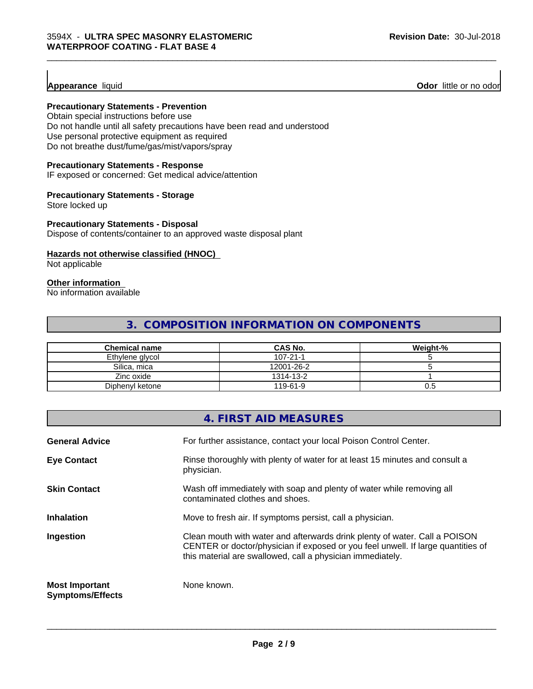**Appearance** liquid **Odor 11** Odor little or no odor

#### **Precautionary Statements - Prevention**

Obtain special instructions before use Do not handle until all safety precautions have been read and understood Use personal protective equipment as required Do not breathe dust/fume/gas/mist/vapors/spray

#### **Precautionary Statements - Response**

IF exposed or concerned: Get medical advice/attention

#### **Precautionary Statements - Storage**

Store locked up

#### **Precautionary Statements - Disposal**

Dispose of contents/container to an approved waste disposal plant

### **Hazards not otherwise classified (HNOC)**

Not applicable

# **Other information**

No information available

# **3. COMPOSITION INFORMATION ON COMPONENTS**

\_\_\_\_\_\_\_\_\_\_\_\_\_\_\_\_\_\_\_\_\_\_\_\_\_\_\_\_\_\_\_\_\_\_\_\_\_\_\_\_\_\_\_\_\_\_\_\_\_\_\_\_\_\_\_\_\_\_\_\_\_\_\_\_\_\_\_\_\_\_\_\_\_\_\_\_\_\_\_\_\_\_\_\_\_\_\_\_\_\_\_\_\_

| <b>Chemical name</b> | <b>CAS No.</b> | Weight-% |
|----------------------|----------------|----------|
| Ethylene glycol      | $107 - 21 - 1$ |          |
| Silica, mica         | 12001-26-2     |          |
| Zinc oxide           | 1314-13-2      |          |
| Diphenyl ketone      | 119-61-9       | U.5      |

|                                                  | 4. FIRST AID MEASURES                                                                                                                                                                                                        |
|--------------------------------------------------|------------------------------------------------------------------------------------------------------------------------------------------------------------------------------------------------------------------------------|
| <b>General Advice</b>                            | For further assistance, contact your local Poison Control Center.                                                                                                                                                            |
| <b>Eye Contact</b>                               | Rinse thoroughly with plenty of water for at least 15 minutes and consult a<br>physician.                                                                                                                                    |
| <b>Skin Contact</b>                              | Wash off immediately with soap and plenty of water while removing all<br>contaminated clothes and shoes.                                                                                                                     |
| <b>Inhalation</b>                                | Move to fresh air. If symptoms persist, call a physician.                                                                                                                                                                    |
| Ingestion                                        | Clean mouth with water and afterwards drink plenty of water. Call a POISON<br>CENTER or doctor/physician if exposed or you feel unwell. If large quantities of<br>this material are swallowed, call a physician immediately. |
| <b>Most Important</b><br><b>Symptoms/Effects</b> | None known.                                                                                                                                                                                                                  |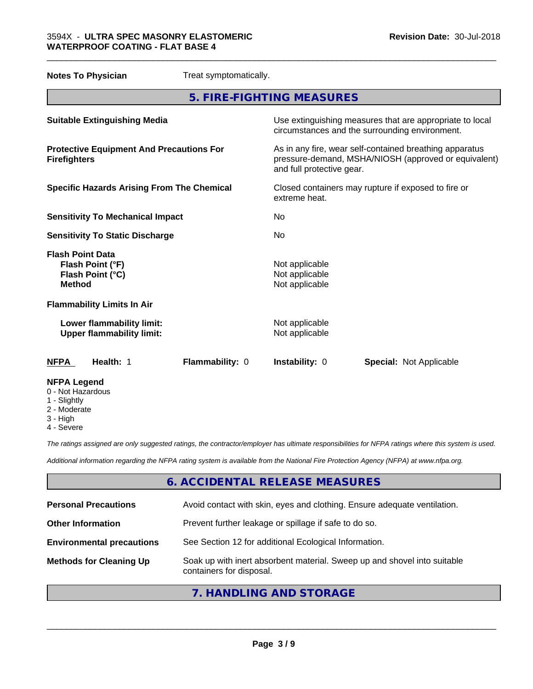| <b>Notes To Physician</b>                                                        | Treat symptomatically. |                                                                                                                                              |                                |  |
|----------------------------------------------------------------------------------|------------------------|----------------------------------------------------------------------------------------------------------------------------------------------|--------------------------------|--|
|                                                                                  |                        | 5. FIRE-FIGHTING MEASURES                                                                                                                    |                                |  |
| <b>Suitable Extinguishing Media</b>                                              |                        | Use extinguishing measures that are appropriate to local<br>circumstances and the surrounding environment.                                   |                                |  |
| <b>Protective Equipment And Precautions For</b><br><b>Firefighters</b>           |                        | As in any fire, wear self-contained breathing apparatus<br>pressure-demand, MSHA/NIOSH (approved or equivalent)<br>and full protective gear. |                                |  |
| <b>Specific Hazards Arising From The Chemical</b>                                |                        | Closed containers may rupture if exposed to fire or<br>extreme heat.                                                                         |                                |  |
| <b>Sensitivity To Mechanical Impact</b>                                          |                        | No                                                                                                                                           |                                |  |
| <b>Sensitivity To Static Discharge</b>                                           |                        | No                                                                                                                                           |                                |  |
| <b>Flash Point Data</b><br>Flash Point (°F)<br>Flash Point (°C)<br><b>Method</b> |                        | Not applicable<br>Not applicable<br>Not applicable                                                                                           |                                |  |
| <b>Flammability Limits In Air</b>                                                |                        |                                                                                                                                              |                                |  |
| Lower flammability limit:<br><b>Upper flammability limit:</b>                    |                        | Not applicable<br>Not applicable                                                                                                             |                                |  |
| <b>NFPA</b><br>Health: 1                                                         | Flammability: 0        | Instability: 0                                                                                                                               | <b>Special: Not Applicable</b> |  |
| <b>NFPA Legend</b><br>0 - Not Hazardous<br>1 - Slightly                          |                        |                                                                                                                                              |                                |  |

\_\_\_\_\_\_\_\_\_\_\_\_\_\_\_\_\_\_\_\_\_\_\_\_\_\_\_\_\_\_\_\_\_\_\_\_\_\_\_\_\_\_\_\_\_\_\_\_\_\_\_\_\_\_\_\_\_\_\_\_\_\_\_\_\_\_\_\_\_\_\_\_\_\_\_\_\_\_\_\_\_\_\_\_\_\_\_\_\_\_\_\_\_

- Slightly
- 2 Moderate
- 3 High
- 4 Severe

*The ratings assigned are only suggested ratings, the contractor/employer has ultimate responsibilities for NFPA ratings where this system is used.*

*Additional information regarding the NFPA rating system is available from the National Fire Protection Agency (NFPA) at www.nfpa.org.*

# **6. ACCIDENTAL RELEASE MEASURES**

| <b>Personal Precautions</b>      | Avoid contact with skin, eyes and clothing. Ensure adequate ventilation.                             |
|----------------------------------|------------------------------------------------------------------------------------------------------|
| <b>Other Information</b>         | Prevent further leakage or spillage if safe to do so.                                                |
| <b>Environmental precautions</b> | See Section 12 for additional Ecological Information.                                                |
| <b>Methods for Cleaning Up</b>   | Soak up with inert absorbent material. Sweep up and shovel into suitable<br>containers for disposal. |
|                                  |                                                                                                      |

# **7. HANDLING AND STORAGE**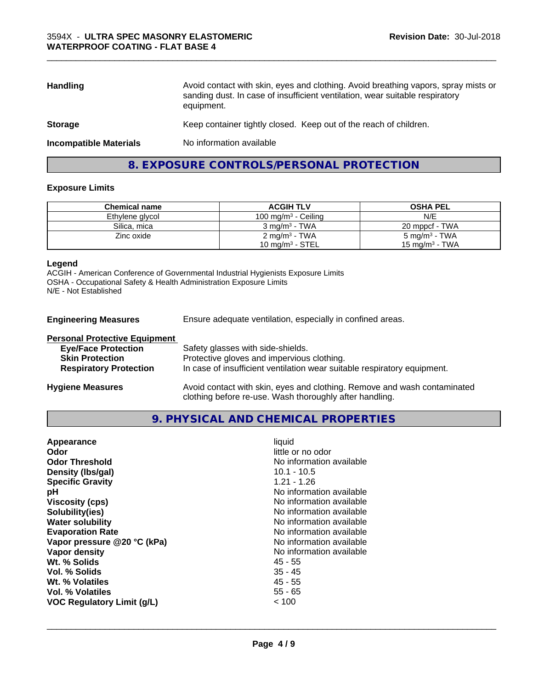| <b>Handling</b>               | Avoid contact with skin, eyes and clothing. Avoid breathing vapors, spray mists or<br>sanding dust. In case of insufficient ventilation, wear suitable respiratory<br>equipment. |
|-------------------------------|----------------------------------------------------------------------------------------------------------------------------------------------------------------------------------|
| <b>Storage</b>                | Keep container tightly closed. Keep out of the reach of children.                                                                                                                |
| <b>Incompatible Materials</b> | No information available                                                                                                                                                         |

\_\_\_\_\_\_\_\_\_\_\_\_\_\_\_\_\_\_\_\_\_\_\_\_\_\_\_\_\_\_\_\_\_\_\_\_\_\_\_\_\_\_\_\_\_\_\_\_\_\_\_\_\_\_\_\_\_\_\_\_\_\_\_\_\_\_\_\_\_\_\_\_\_\_\_\_\_\_\_\_\_\_\_\_\_\_\_\_\_\_\_\_\_

# **8. EXPOSURE CONTROLS/PERSONAL PROTECTION**

#### **Exposure Limits**

| <b>Chemical name</b> | <b>ACGIH TLV</b>          | <b>OSHA PEL</b>            |
|----------------------|---------------------------|----------------------------|
| Ethylene glycol      | 100 mg/m $3$ - Ceiling    | N/E                        |
| Silica, mica         | $3 \text{ ma/m}^3$ - TWA  | 20 mppcf - TWA             |
| Zinc oxide           | 2 mg/m <sup>3</sup> - TWA | 5 mg/m $3$ - TWA           |
|                      | 10 mg/m $3 -$ STEL        | 15 mg/m <sup>3</sup> - TWA |

#### **Legend**

ACGIH - American Conference of Governmental Industrial Hygienists Exposure Limits OSHA - Occupational Safety & Health Administration Exposure Limits N/E - Not Established

**Engineering Measures** Ensure adequate ventilation, especially in confined areas.

| <b>Personal Protective Equipment</b> |                                                                                                                                     |
|--------------------------------------|-------------------------------------------------------------------------------------------------------------------------------------|
| <b>Eye/Face Protection</b>           | Safety glasses with side-shields.                                                                                                   |
| <b>Skin Protection</b>               | Protective gloves and impervious clothing.                                                                                          |
| <b>Respiratory Protection</b>        | In case of insufficient ventilation wear suitable respiratory equipment.                                                            |
| <b>Hygiene Measures</b>              | Avoid contact with skin, eyes and clothing. Remove and wash contaminated<br>clothing before re-use. Wash thoroughly after handling. |

### **9. PHYSICAL AND CHEMICAL PROPERTIES**

| Appearance                        | liquid                   |
|-----------------------------------|--------------------------|
| Odor                              | little or no odor        |
| <b>Odor Threshold</b>             | No information available |
| Density (Ibs/gal)                 | $10.1 - 10.5$            |
| <b>Specific Gravity</b>           | $1.21 - 1.26$            |
| рH                                | No information available |
| <b>Viscosity (cps)</b>            | No information available |
| Solubility(ies)                   | No information available |
| <b>Water solubility</b>           | No information available |
| <b>Evaporation Rate</b>           | No information available |
| Vapor pressure @20 °C (kPa)       | No information available |
| Vapor density                     | No information available |
| Wt. % Solids                      | 45 - 55                  |
| Vol. % Solids                     | $35 - 45$                |
| Wt. % Volatiles                   | 45 - 55                  |
| Vol. % Volatiles                  | $55 - 65$                |
| <b>VOC Regulatory Limit (g/L)</b> | ~< 100                   |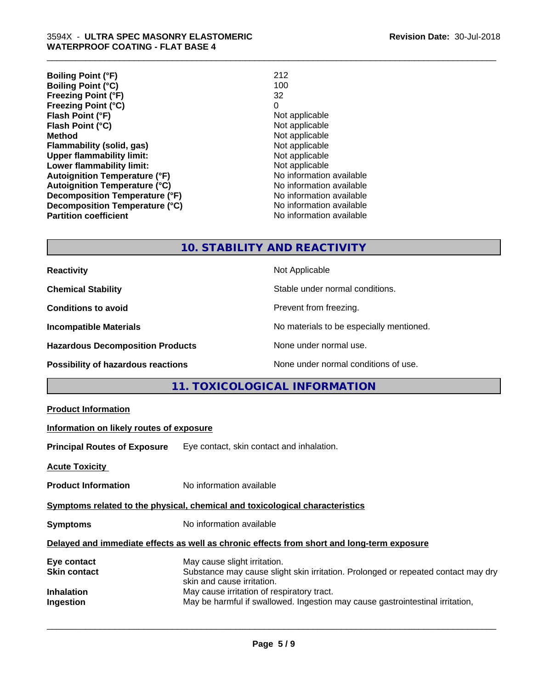| 212                      |
|--------------------------|
| 100                      |
| 32                       |
| 0                        |
| Not applicable           |
| Not applicable           |
| Not applicable           |
| Not applicable           |
| Not applicable           |
| Not applicable           |
| No information available |
| No information available |
| No information available |
| No information available |
| No information available |
|                          |

\_\_\_\_\_\_\_\_\_\_\_\_\_\_\_\_\_\_\_\_\_\_\_\_\_\_\_\_\_\_\_\_\_\_\_\_\_\_\_\_\_\_\_\_\_\_\_\_\_\_\_\_\_\_\_\_\_\_\_\_\_\_\_\_\_\_\_\_\_\_\_\_\_\_\_\_\_\_\_\_\_\_\_\_\_\_\_\_\_\_\_\_\_

# **10. STABILITY AND REACTIVITY**

| <b>Reactivity</b>                         | Not Applicable                           |
|-------------------------------------------|------------------------------------------|
| <b>Chemical Stability</b>                 | Stable under normal conditions.          |
| <b>Conditions to avoid</b>                | Prevent from freezing.                   |
| <b>Incompatible Materials</b>             | No materials to be especially mentioned. |
| <b>Hazardous Decomposition Products</b>   | None under normal use.                   |
| <b>Possibility of hazardous reactions</b> | None under normal conditions of use.     |

# **11. TOXICOLOGICAL INFORMATION**

| <b>Product Information</b>                                                                 |                                                                                                                                                 |  |  |
|--------------------------------------------------------------------------------------------|-------------------------------------------------------------------------------------------------------------------------------------------------|--|--|
| Information on likely routes of exposure                                                   |                                                                                                                                                 |  |  |
|                                                                                            | <b>Principal Routes of Exposure</b> Eye contact, skin contact and inhalation.                                                                   |  |  |
| <b>Acute Toxicity</b>                                                                      |                                                                                                                                                 |  |  |
| <b>Product Information</b>                                                                 | No information available                                                                                                                        |  |  |
| Symptoms related to the physical, chemical and toxicological characteristics               |                                                                                                                                                 |  |  |
| <b>Symptoms</b>                                                                            | No information available                                                                                                                        |  |  |
| Delayed and immediate effects as well as chronic effects from short and long-term exposure |                                                                                                                                                 |  |  |
| Eye contact<br>Skin contact                                                                | May cause slight irritation.<br>Substance may cause slight skin irritation. Prolonged or repeated contact may dry<br>skin and cause irritation. |  |  |
| Inhalation<br>Ingestion                                                                    | May cause irritation of respiratory tract.<br>May be harmful if swallowed. Ingestion may cause gastrointestinal irritation,                     |  |  |
|                                                                                            |                                                                                                                                                 |  |  |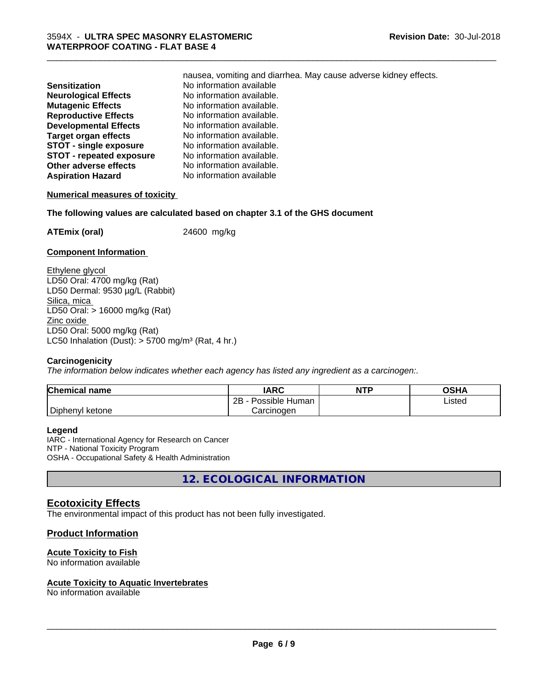|                                 | nausea, vomiting and diarrhea. May cause adverse kidney effects. |
|---------------------------------|------------------------------------------------------------------|
| Sensitization                   | No information available                                         |
| <b>Neurological Effects</b>     | No information available.                                        |
| <b>Mutagenic Effects</b>        | No information available.                                        |
| <b>Reproductive Effects</b>     | No information available.                                        |
| <b>Developmental Effects</b>    | No information available.                                        |
| Target organ effects            | No information available.                                        |
| <b>STOT - single exposure</b>   | No information available.                                        |
| <b>STOT - repeated exposure</b> | No information available.                                        |
| Other adverse effects           | No information available.                                        |
| <b>Aspiration Hazard</b>        | No information available                                         |
|                                 |                                                                  |

\_\_\_\_\_\_\_\_\_\_\_\_\_\_\_\_\_\_\_\_\_\_\_\_\_\_\_\_\_\_\_\_\_\_\_\_\_\_\_\_\_\_\_\_\_\_\_\_\_\_\_\_\_\_\_\_\_\_\_\_\_\_\_\_\_\_\_\_\_\_\_\_\_\_\_\_\_\_\_\_\_\_\_\_\_\_\_\_\_\_\_\_\_

#### **Numerical measures of toxicity**

**The following values are calculated based on chapter 3.1 of the GHS document**

**ATEmix (oral)** 24600 mg/kg

#### **Component Information**

Ethylene glycol LD50 Oral: 4700 mg/kg (Rat) LD50 Dermal: 9530 µg/L (Rabbit) Silica, mica LD50 Oral: > 16000 mg/kg (Rat) Zinc oxide LD50 Oral: 5000 mg/kg (Rat) LC50 Inhalation (Dust):  $> 5700$  mg/m<sup>3</sup> (Rat, 4 hr.)

#### **Carcinogenicity**

*The information below indicateswhether each agency has listed any ingredient as a carcinogen:.*

| <b>Chemical name</b> | <b>IARC</b>               | <b>NTP</b> | <b>OSHA</b> |
|----------------------|---------------------------|------------|-------------|
|                      | Possible<br>2B<br>⊧ Human |            | Listed      |
| Diphenyl ketone      | Carcinogen                |            |             |

#### **Legend**

IARC - International Agency for Research on Cancer NTP - National Toxicity Program OSHA - Occupational Safety & Health Administration

**12. ECOLOGICAL INFORMATION**

### **Ecotoxicity Effects**

The environmental impact of this product has not been fully investigated.

### **Product Information**

#### **Acute Toxicity to Fish**

No information available

#### **Acute Toxicity to Aquatic Invertebrates**

No information available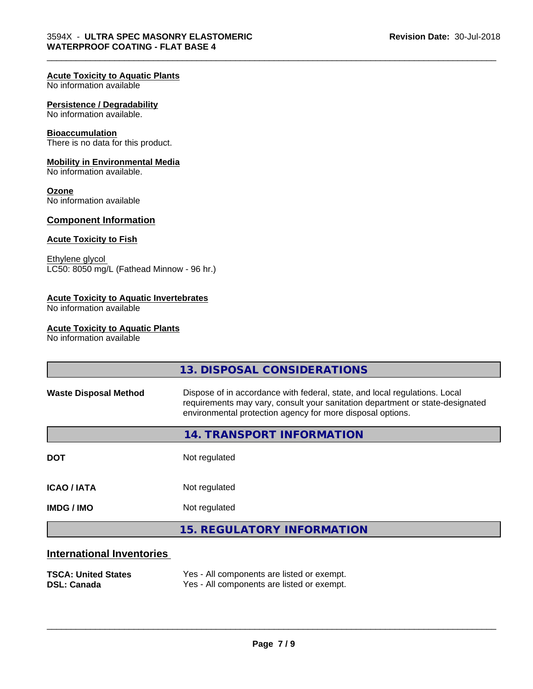#### **Acute Toxicity to Aquatic Plants**

No information available

#### **Persistence / Degradability**

No information available.

#### **Bioaccumulation**

There is no data for this product.

#### **Mobility in Environmental Media**

No information available.

#### **Ozone**

No information available

#### **Component Information**

#### **Acute Toxicity to Fish**

Ethylene glycol LC50: 8050 mg/L (Fathead Minnow - 96 hr.)

### **Acute Toxicity to Aquatic Invertebrates**

No information available

#### **Acute Toxicity to Aquatic Plants**

No information available

|                              | 13. DISPOSAL CONSIDERATIONS                                                                                                                                                                                               |
|------------------------------|---------------------------------------------------------------------------------------------------------------------------------------------------------------------------------------------------------------------------|
| <b>Waste Disposal Method</b> | Dispose of in accordance with federal, state, and local regulations. Local<br>requirements may vary, consult your sanitation department or state-designated<br>environmental protection agency for more disposal options. |
|                              | 14. TRANSPORT INFORMATION                                                                                                                                                                                                 |
| <b>DOT</b>                   | Not regulated                                                                                                                                                                                                             |
| <b>ICAO / IATA</b>           | Not regulated                                                                                                                                                                                                             |
| <b>IMDG / IMO</b>            | Not regulated                                                                                                                                                                                                             |
|                              | <b>15. REGULATORY INFORMATION</b>                                                                                                                                                                                         |
| International Inventories    |                                                                                                                                                                                                                           |

\_\_\_\_\_\_\_\_\_\_\_\_\_\_\_\_\_\_\_\_\_\_\_\_\_\_\_\_\_\_\_\_\_\_\_\_\_\_\_\_\_\_\_\_\_\_\_\_\_\_\_\_\_\_\_\_\_\_\_\_\_\_\_\_\_\_\_\_\_\_\_\_\_\_\_\_\_\_\_\_\_\_\_\_\_\_\_\_\_\_\_\_\_

#### **International Inventories**

| <b>TSCA: United States</b> | Yes - All components are listed or exempt. |
|----------------------------|--------------------------------------------|
| <b>DSL: Canada</b>         | Yes - All components are listed or exempt. |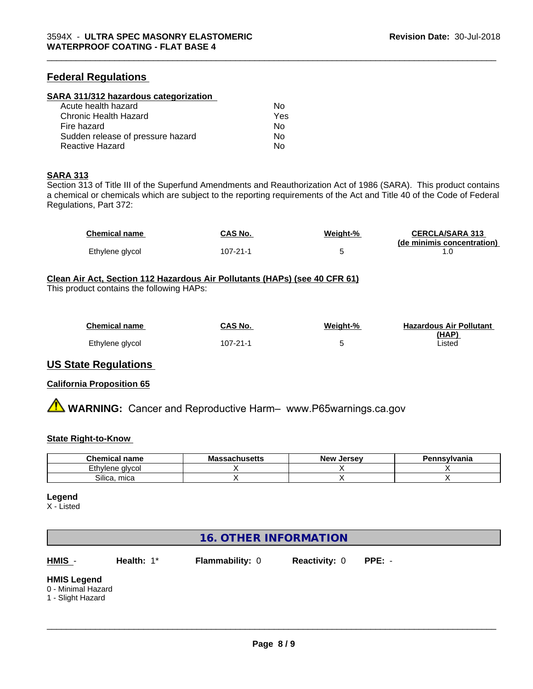# **Federal Regulations**

#### **SARA 311/312 hazardous categorization**

| Acute health hazard               | No  |  |
|-----------------------------------|-----|--|
| Chronic Health Hazard             | Yes |  |
| Fire hazard                       | N٥  |  |
| Sudden release of pressure hazard | Nο  |  |
| Reactive Hazard                   | Nο  |  |

#### **SARA 313**

Section 313 of Title III of the Superfund Amendments and Reauthorization Act of 1986 (SARA). This product contains a chemical or chemicals which are subject to the reporting requirements of the Act and Title 40 of the Code of Federal Regulations, Part 372:

| <b>Chemical name</b> | CAS No.  | Weight-% | <b>CERCLA/SARA 313</b>     |
|----------------------|----------|----------|----------------------------|
|                      |          |          | (de minimis concentration) |
| Ethylene glycol      | 107-21-1 |          |                            |

\_\_\_\_\_\_\_\_\_\_\_\_\_\_\_\_\_\_\_\_\_\_\_\_\_\_\_\_\_\_\_\_\_\_\_\_\_\_\_\_\_\_\_\_\_\_\_\_\_\_\_\_\_\_\_\_\_\_\_\_\_\_\_\_\_\_\_\_\_\_\_\_\_\_\_\_\_\_\_\_\_\_\_\_\_\_\_\_\_\_\_\_\_

# **Clean Air Act,Section 112 Hazardous Air Pollutants (HAPs) (see 40 CFR 61)**

This product contains the following HAPs:

| Chemical name   | <b>CAS No.</b> | Weight-% | <b>Hazardous Air Pollutant</b> |
|-----------------|----------------|----------|--------------------------------|
|                 |                |          | (HAP)                          |
| Ethylene glycol | 107-21-1       |          | _isted                         |

### **US State Regulations**

#### **California Proposition 65**

**A WARNING:** Cancer and Reproductive Harm– www.P65warnings.ca.gov

#### **State Right-to-Know**

| <b>Chemical name</b>                        | Massa<br>sachusetts | <b>Jersev</b><br><b>New</b> | Pennsylvania |
|---------------------------------------------|---------------------|-----------------------------|--------------|
| - -<br>.+๒<br>: alvcol<br>مصمات<br>W<br>LЧ. |                     |                             |              |
| Silica.<br>mica                             |                     |                             |              |

#### **Legend**

X - Listed

# **16. OTHER INFORMATION**

**HMIS** - **Health:** 1\* **Flammability:** 0 **Reactivity:** 0 **PPE:** -

 $\overline{\phantom{a}}$  ,  $\overline{\phantom{a}}$  ,  $\overline{\phantom{a}}$  ,  $\overline{\phantom{a}}$  ,  $\overline{\phantom{a}}$  ,  $\overline{\phantom{a}}$  ,  $\overline{\phantom{a}}$  ,  $\overline{\phantom{a}}$  ,  $\overline{\phantom{a}}$  ,  $\overline{\phantom{a}}$  ,  $\overline{\phantom{a}}$  ,  $\overline{\phantom{a}}$  ,  $\overline{\phantom{a}}$  ,  $\overline{\phantom{a}}$  ,  $\overline{\phantom{a}}$  ,  $\overline{\phantom{a}}$ 

#### **HMIS Legend**

0 - Minimal Hazard

1 - Slight Hazard